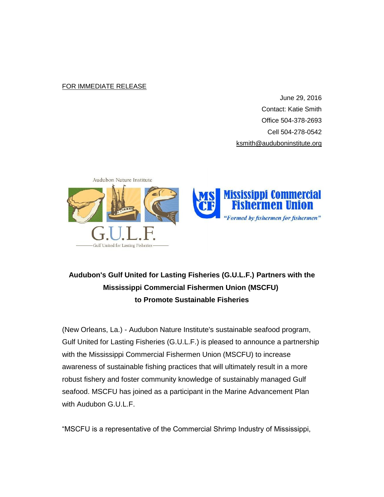## FOR IMMEDIATE RELEASE

June 29, 2016 Contact: Katie Smith Office 504-378-2693 Cell 504-278-0542 [ksmith@auduboninstitute.org](mailto:ksmith@auduboninstitute.org)



## **Audubon's Gulf United for Lasting Fisheries (G.U.L.F.) Partners with the Mississippi Commercial Fishermen Union (MSCFU) to Promote Sustainable Fisheries**

(New Orleans, La.) - Audubon Nature Institute's sustainable seafood program, Gulf United for Lasting Fisheries (G.U.L.F.) is pleased to announce a partnership with the Mississippi Commercial Fishermen Union (MSCFU) to increase awareness of sustainable fishing practices that will ultimately result in a more robust fishery and foster community knowledge of sustainably managed Gulf seafood. MSCFU has joined as a participant in the Marine Advancement Plan with Audubon G.U.L.F.

"MSCFU is a representative of the Commercial Shrimp Industry of Mississippi,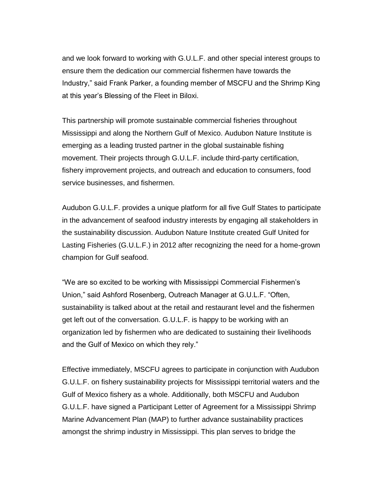and we look forward to working with G.U.L.F. and other special interest groups to ensure them the dedication our commercial fishermen have towards the Industry," said Frank Parker, a founding member of MSCFU and the Shrimp King at this year's Blessing of the Fleet in Biloxi.

This partnership will promote sustainable commercial fisheries throughout Mississippi and along the Northern Gulf of Mexico. Audubon Nature Institute is emerging as a leading trusted partner in the global sustainable fishing movement. Their projects through G.U.L.F. include third-party certification, fishery improvement projects, and outreach and education to consumers, food service businesses, and fishermen.

Audubon G.U.L.F. provides a unique platform for all five Gulf States to participate in the advancement of seafood industry interests by engaging all stakeholders in the sustainability discussion. Audubon Nature Institute created Gulf United for Lasting Fisheries (G.U.L.F.) in 2012 after recognizing the need for a home-grown champion for Gulf seafood.

"We are so excited to be working with Mississippi Commercial Fishermen's Union," said Ashford Rosenberg, Outreach Manager at G.U.L.F. "Often, sustainability is talked about at the retail and restaurant level and the fishermen get left out of the conversation. G.U.L.F. is happy to be working with an organization led by fishermen who are dedicated to sustaining their livelihoods and the Gulf of Mexico on which they rely."

Effective immediately, MSCFU agrees to participate in conjunction with Audubon G.U.L.F. on fishery sustainability projects for Mississippi territorial waters and the Gulf of Mexico fishery as a whole. Additionally, both MSCFU and Audubon G.U.L.F. have signed a Participant Letter of Agreement for a Mississippi Shrimp Marine Advancement Plan (MAP) to further advance sustainability practices amongst the shrimp industry in Mississippi. This plan serves to bridge the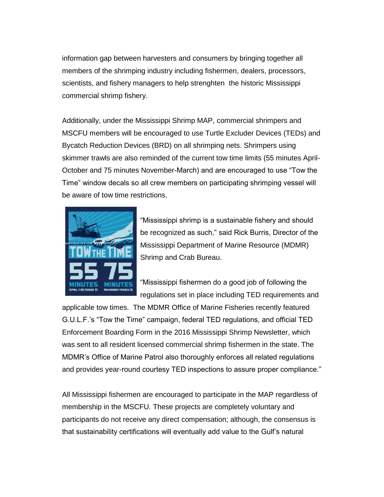information gap between harvesters and consumers by bringing together all members of the shrimping industry including fishermen, dealers, processors, scientists, and fishery managers to help strenghten the historic Mississippi commercial shrimp fishery.

Additionally, under the Mississippi Shrimp MAP, commercial shrimpers and MSCFU members will be encouraged to use Turtle Excluder Devices (TEDs) and Bycatch Reduction Devices (BRD) on all shrimping nets. Shrimpers using skimmer trawls are also reminded of the current tow time limits (55 minutes April-October and 75 minutes November-March) and are encouraged to use "Tow the Time" window decals so all crew members on participating shrimping vessel will be aware of tow time restrictions.



"Mississippi shrimp is a sustainable fishery and should be recognized as such," said Rick Burris, Director of the Mississippi Department of Marine Resource (MDMR) Shrimp and Crab Bureau.

"Mississippi fishermen do a good job of following the regulations set in place including TED requirements and

applicable tow times. The MDMR Office of Marine Fisheries recently featured G.U.L.F.'s "Tow the Time" campaign, federal TED regulations, and official TED Enforcement Boarding Form in the 2016 Mississippi Shrimp Newsletter, which was sent to all resident licensed commercial shrimp fishermen in the state. The MDMR's Office of Marine Patrol also thoroughly enforces all related regulations and provides year-round courtesy TED inspections to assure proper compliance."

All Mississippi fishermen are encouraged to participate in the MAP regardless of membership in the MSCFU. These projects are completely voluntary and participants do not receive any direct compensation; although, the consensus is that sustainability certifications will eventually add value to the Gulf's natural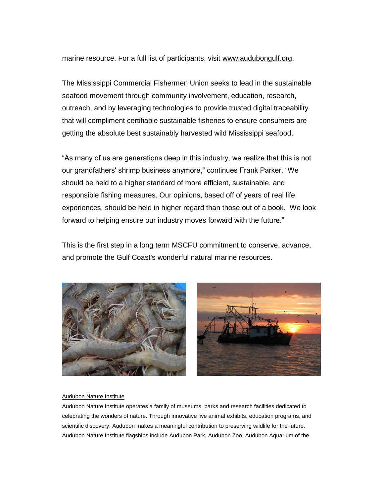marine resource. For a full list of participants, visit [www.audubongulf.org.](http://auduboninstitute.us2.list-manage.com/track/click?u=58440837dab4d883e3efe0453&id=a2ca9fc06d&e=5cbf0576ec)

The Mississippi Commercial Fishermen Union seeks to lead in the sustainable seafood movement through community involvement, education, research, outreach, and by leveraging technologies to provide trusted digital traceability that will compliment certifiable sustainable fisheries to ensure consumers are getting the absolute best sustainably harvested wild Mississippi seafood.

"As many of us are generations deep in this industry, we realize that this is not our grandfathers' shrimp business anymore," continues Frank Parker. "We should be held to a higher standard of more efficient, sustainable, and responsible fishing measures. Our opinions, based off of years of real life experiences, should be held in higher regard than those out of a book. We look forward to helping ensure our industry moves forward with the future."

This is the first step in a long term MSCFU commitment to conserve, advance, and promote the Gulf Coast's wonderful natural marine resources.





## Audubon Nature Institute

Audubon Nature Institute operates a family of museums, parks and research facilities dedicated to celebrating the wonders of nature. Through innovative live animal exhibits, education programs, and scientific discovery, Audubon makes a meaningful contribution to preserving wildlife for the future. Audubon Nature Institute flagships include Audubon Park, Audubon Zoo, Audubon Aquarium of the